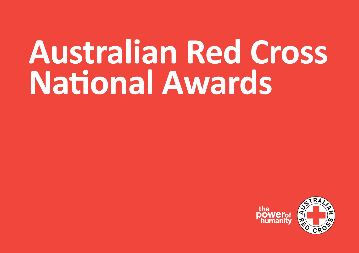# **Australian Red Cross National Awards**

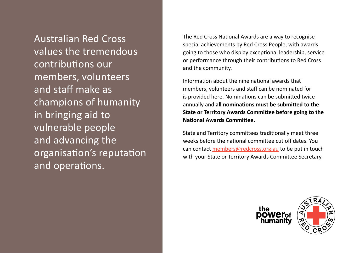Australian Red Cross values the tremendous contributions our members, volunteers and staff make as champions of humanity in bringing aid to vulnerable people and advancing the organisation's reputation and operations.

The Red Cross National Awards are a way to recognise special achievements by Red Cross People, with awards going to those who display exceptional leadership, service or performance through their contributions to Red Cross and the community.

Information about the nine national awards that members, volunteers and staff can be nominated for is provided here. Nominations can be submitted twice annually and **all nominations must be submitted to the State or Territory Awards Committee before going to the National Awards Committee.** 

State and Territory committees traditionally meet three weeks before the national committee cut off dates. You can contact members@redcross.org.au to be put in touch with your State or Territory Awards Committee Secretary.



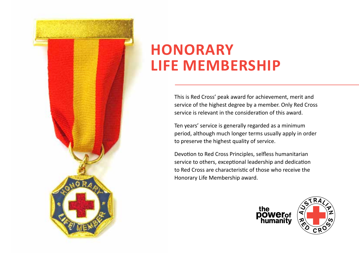

## **HONORARY LIFE MEMBERSHIP**

This is Red Cross' peak award for achievement, merit and service of the highest degree by a member. Only Red Cross service is relevant in the consideration of this award.

Ten years' service is generally regarded as a minimum period, although much longer terms usually apply in order to preserve the highest quality of service.

Devotion to Red Cross Principles, selfless humanitarian service to others, exceptional leadership and dedication to Red Cross are characteristic of those who receive the Honorary Life Membership award.



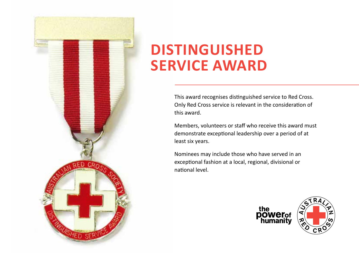

## **DISTINGUISHED SERVICE AWARD**

This award recognises distinguished service to Red Cross. Only Red Cross service is relevant in the consideration of this award.

Members, volunteers or staff who receive this award must demonstrate exceptional leadership over a period of at least six years.

Nominees may include those who have served in an exceptional fashion at a local, regional, divisional or national level.



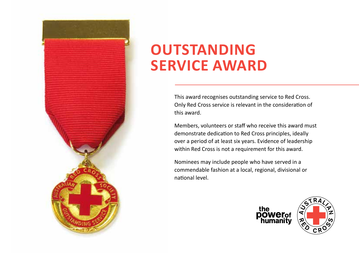

# **OUTSTANDING SERVICE AWARD**

This award recognises outstanding service to Red Cross. Only Red Cross service is relevant in the consideration of this award.

Members, volunteers or staff who receive this award must demonstrate dedication to Red Cross principles, ideally over a period of at least six years. Evidence of leadership within Red Cross is not a requirement for this award.

Nominees may include people who have served in a commendable fashion at a local, regional, divisional or national level.



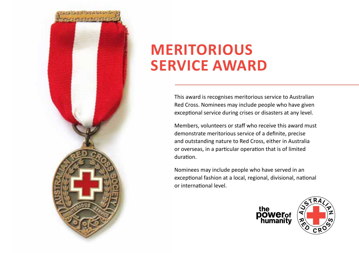

# **MERITORIOUS SERVICE AWARD**

This award is recognises meritorious service to Australian Red Cross. Nominees may include people who have given exceptional service during crises or disasters at any level.

Members, volunteers or staff who receive this award must demonstrate meritorious service of a definite, precise and outstanding nature to Red Cross, either in Australia or overseas, in a particular operation that is of limited duration.

Nominees may include people who have served in an exceptional fashion at a local, regional, divisional, national or international level.

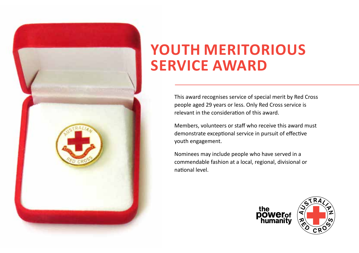

# **YOUTH MERITORIOUS SERVICE AWARD**

This award recognises service of special merit by Red Cross people aged 29 years or less. Only Red Cross service is relevant in the consideration of this award.

Members, volunteers or staff who receive this award must demonstrate exceptional service in pursuit of effective youth engagement.

Nominees may include people who have served in a commendable fashion at a local, regional, divisional or national level.



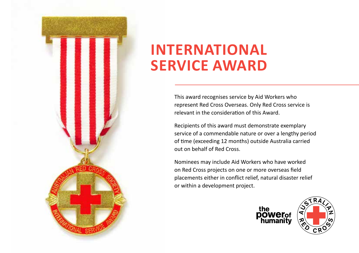

# **INTERNATIONAL SERVICE AWARD**

This award recognises service by Aid Workers who represent Red Cross Overseas. Only Red Cross service is relevant in the consideration of this Award.

Recipients of this award must demonstrate exemplary service of a commendable nature or over a lengthy period of time (exceeding 12 months) outside Australia carried out on behalf of Red Cross.

Nominees may include Aid Workers who have worked on Red Cross projects on one or more overseas field placements either in conflict relief, natural disaster relief or within a development project.



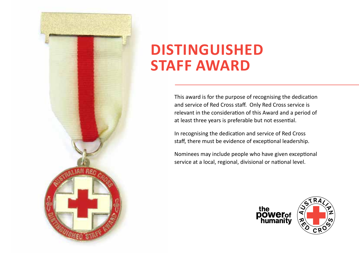

#### **DISTINGUISHED STAFF AWARD**

This award is for the purpose of recognising the dedication and service of Red Cross staff. Only Red Cross service is relevant in the consideration of this Award and a period of at least three years is preferable but not essential.

In recognising the dedication and service of Red Cross staff, there must be evidence of exceptional leadership.

Nominees may include people who have given exceptional service at a local, regional, divisional or national level.



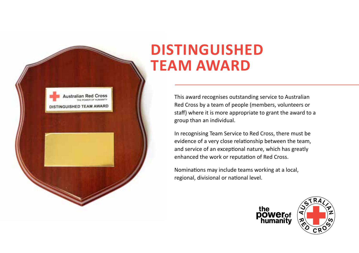

#### **DISTINGUISHED TEAM AWARD**

This award recognises outstanding service to Australian Red Cross by a team of people (members, volunteers or staff) where it is more appropriate to grant the award to a group than an individual.

In recognising Team Service to Red Cross, there must be evidence of a very close relationship between the team, and service of an exceptional nature, which has greatly enhanced the work or reputation of Red Cross.

Nominations may include teams working at a local, regional, divisional or national level.

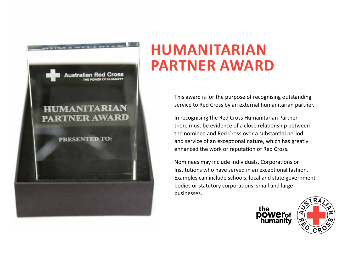

## **HUMANITARIAN PARTNER AWARD**

This award is for the purpose of recognising outstanding service to Red Cross by an external humanitarian partner.

In recognising the Red Cross Humanitarian Partner there must be evidence of a close relationship between the nominee and Red Cross over a substantial period and service of an exceptional nature, which has greatly enhanced the work or reputation of Red Cross.

Nominees may include Individuals, Corporations or Institutions who have served in an exceptional fashion. Examples can include schools, local and state government bodies or statutory corporations, small and large businesses.